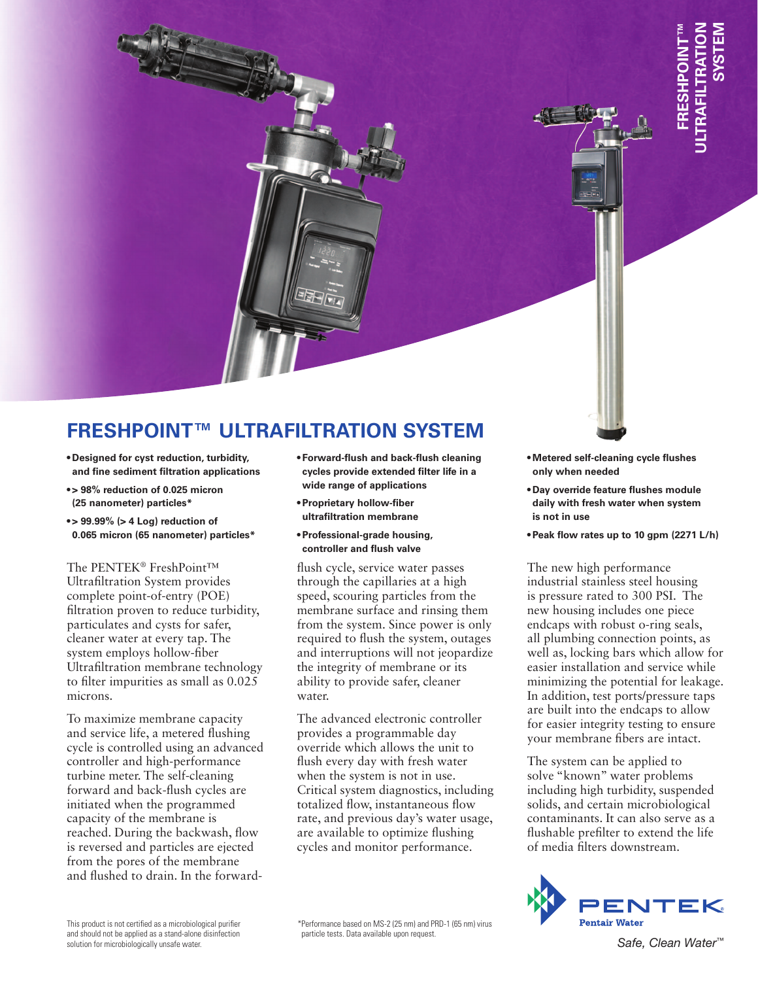## **FRESHPOINT™ ULTRAFILTRATION SYSTEM**

- **tDesigned for cyst reduction, turbidity, and fine sediment filtration applications**
- **t> 98% reduction of 0.025 micron (25 nanometer) particles\***
- **t> 99.99% (> 4 Log) reduction of 0.065 micron (65 nanometer) particles\***

The PENTEK® FreshPoint™ Ultrafiltration System provides complete point-of-entry (POE) filtration proven to reduce turbidity, particulates and cysts for safer, cleaner water at every tap. The system employs hollow-fiber Ultrafiltration membrane technology to filter impurities as small as 0.025 microns.

To maximize membrane capacity and service life, a metered flushing cycle is controlled using an advanced controller and high-performance turbine meter. The self-cleaning forward and back-flush cycles are initiated when the programmed capacity of the membrane is reached. During the backwash, flow is reversed and particles are ejected from the pores of the membrane and flushed to drain. In the forward-

- **tForward-flush and back-flush cleaning cycles provide extended filter life in a wide range of applications**
- **tProprietary hollow-fiber ultrafiltration membrane**
- **tProfessional-grade housing, controller and flush valve**

flush cycle, service water passes through the capillaries at a high speed, scouring particles from the membrane surface and rinsing them from the system. Since power is only required to flush the system, outages and interruptions will not jeopardize the integrity of membrane or its ability to provide safer, cleaner water.

The advanced electronic controller provides a programmable day override which allows the unit to flush every day with fresh water when the system is not in use. Critical system diagnostics, including totalized flow, instantaneous flow rate, and previous day's water usage, are available to optimize flushing cycles and monitor performance.

- **tMetered self-cleaning cycle flushes only when needed**
- **tDay override feature flushes module daily with fresh water when system is not in use**
- **tPeak flow rates up to 10 gpm (2271 L/h)**

Example the flushes module<br>Safe of the flushes module<br>there flushes module<br>there when system<br>there when system<br>to 10 gpm (2271 L/h)<br>fromance<br>the state when system<br>to 300 PSI. The<br>uds one piece<br>and of piece of the same of The new high performance industrial stainless steel housing is pressure rated to 300 PSI. The new housing includes one piece endcaps with robust o-ring seals, all plumbing connection points, as well as, locking bars which allow for easier installation and service while minimizing the potential for leakage. In addition, test ports/pressure taps are built into the endcaps to allow for easier integrity testing to ensure your membrane fibers are intact.

The system can be applied to solve "known" water problems including high turbidity, suspended solids, and certain microbiological contaminants. It can also serve as a flushable prefilter to extend the life of media filters downstream.



This product is not certified as a microbiological purifier and should not be applied as a stand-alone disinfection solution for microbiologically unsafe water.

\* Performance based on MS-2 (25 nm) and PRD-1 (65 nm) virus particle tests. Data available upon request.

Safe. Clean Water™